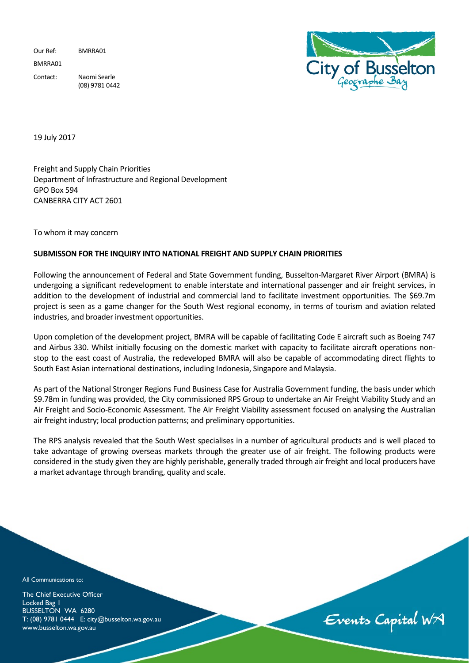Our Ref: BMRRA01 BMRRA01 Contact: Naomi Searle (08) 9781 0442



19 July 2017

Freight and Supply Chain Priorities Department of Infrastructure and Regional Development GPO Box 594 CANBERRA CITY ACT 2601

To whom it may concern

## **SUBMISSON FOR THE INQUIRY INTO NATIONAL FREIGHT AND SUPPLY CHAIN PRIORITIES**

Following the announcement of Federal and State Government funding, Busselton-Margaret River Airport (BMRA) is undergoing a significant redevelopment to enable interstate and international passenger and air freight services, in addition to the development of industrial and commercial land to facilitate investment opportunities. The \$69.7m project is seen as a game changer for the South West regional economy, in terms of tourism and aviation related industries, and broader investment opportunities.

Upon completion of the development project, BMRA will be capable of facilitating Code E aircraft such as Boeing 747 and Airbus 330. Whilst initially focusing on the domestic market with capacity to facilitate aircraft operations nonstop to the east coast of Australia, the redeveloped BMRA will also be capable of accommodating direct flights to South East Asian international destinations, including Indonesia, Singapore and Malaysia.

As part of the National Stronger Regions Fund Business Case for Australia Government funding, the basis under which \$9.78m in funding was provided, the City commissioned RPS Group to undertake an Air Freight Viability Study and an Air Freight and Socio-Economic Assessment. The Air Freight Viability assessment focused on analysing the Australian air freight industry; local production patterns; and preliminary opportunities.

The RPS analysis revealed that the South West specialises in a number of agricultural products and is well placed to take advantage of growing overseas markets through the greater use of air freight. The following products were considered in the study given they are highly perishable, generally traded through air freight and local producers have a market advantage through branding, quality and scale.

All Communications to:

The Chief Executive Officer Locked Bag I BUSSELTON WA 6280 T: (08) 9781 0444 E: city@busselton.wa.gov.au www.busselton.wa.gov.au

Events Capital WA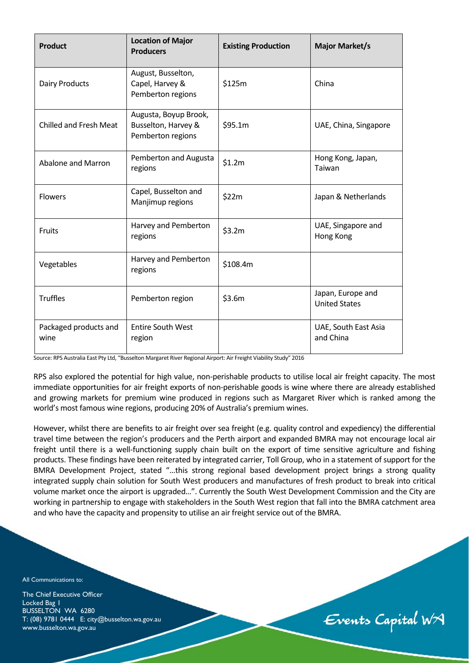| <b>Product</b>                | <b>Location of Major</b><br><b>Producers</b>                      | <b>Existing Production</b> | <b>Major Market/s</b>                     |
|-------------------------------|-------------------------------------------------------------------|----------------------------|-------------------------------------------|
| <b>Dairy Products</b>         | August, Busselton,<br>Capel, Harvey &<br>Pemberton regions        | \$125m                     | China                                     |
| <b>Chilled and Fresh Meat</b> | Augusta, Boyup Brook,<br>Busselton, Harvey &<br>Pemberton regions | \$95.1m                    | UAE, China, Singapore                     |
| Abalone and Marron            | Pemberton and Augusta<br>regions                                  | \$1.2m                     | Hong Kong, Japan,<br>Taiwan               |
| <b>Flowers</b>                | Capel, Busselton and<br>Manjimup regions                          | \$22m                      | Japan & Netherlands                       |
| Fruits                        | Harvey and Pemberton<br>regions                                   | \$3.2m                     | UAE, Singapore and<br>Hong Kong           |
| Vegetables                    | Harvey and Pemberton<br>regions                                   | \$108.4m                   |                                           |
| <b>Truffles</b>               | Pemberton region                                                  | \$3.6m                     | Japan, Europe and<br><b>United States</b> |
| Packaged products and<br>wine | <b>Entire South West</b><br>region                                |                            | UAE, South East Asia<br>and China         |

Source: RPS Australia East Pty Ltd, "Busselton Margaret River Regional Airport: Air Freight Viability Study" 2016

RPS also explored the potential for high value, non-perishable products to utilise local air freight capacity. The most immediate opportunities for air freight exports of non-perishable goods is wine where there are already established and growing markets for premium wine produced in regions such as Margaret River which is ranked among the world's most famous wine regions, producing 20% of Australia's premium wines.

However, whilst there are benefits to air freight over sea freight (e.g. quality control and expediency) the differential travel time between the region's producers and the Perth airport and expanded BMRA may not encourage local air freight until there is a well-functioning supply chain built on the export of time sensitive agriculture and fishing products. These findings have been reiterated by integrated carrier, Toll Group, who in a statement of support for the BMRA Development Project, stated "…this strong regional based development project brings a strong quality integrated supply chain solution for South West producers and manufactures of fresh product to break into critical volume market once the airport is upgraded…". Currently the South West Development Commission and the City are working in partnership to engage with stakeholders in the South West region that fall into the BMRA catchment area and who have the capacity and propensity to utilise an air freight service out of the BMRA.

All Communications to:

The Chief Executive Officer Locked Bag 1 BUSSELTON WA 6280 T: (08) 9781 0444 E: city@busselton.wa.gov.au www.busselton.wa.gov.au

Events Capital WA